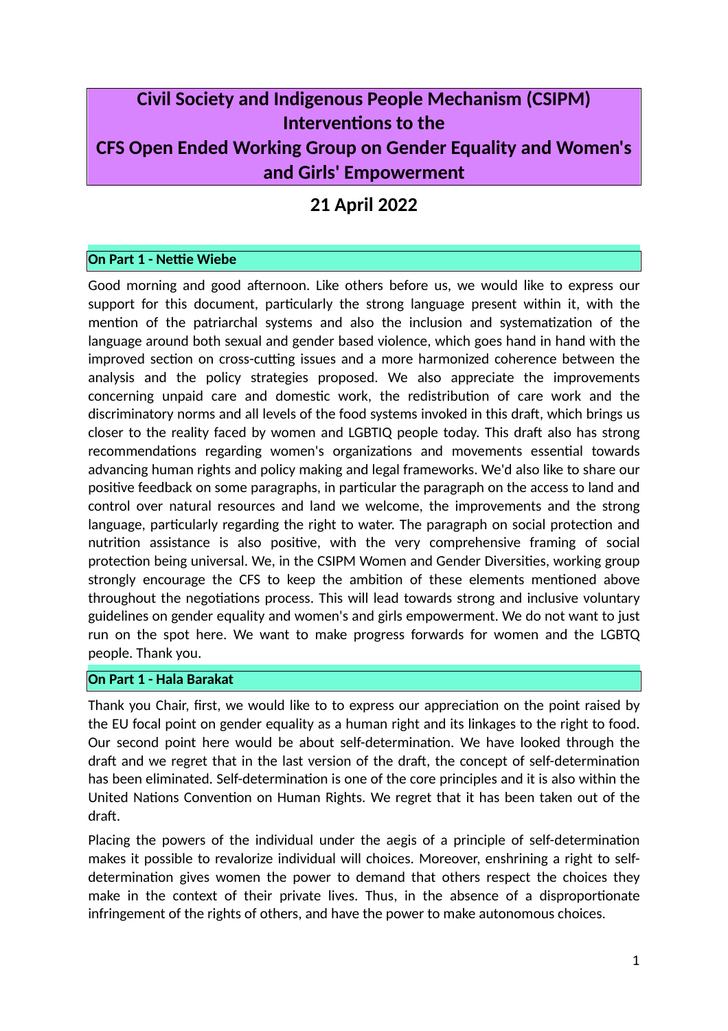# **Civil Society and Indigenous People Mechanism (CSIPM) Interventions to the CFS Open Ended Working Group on Gender Equality and Women's and Girls' Empowerment**

# **21 April 2022**

## **On Part 1 - Nettie Wiebe**

Good morning and good afternoon. Like others before us, we would like to express our support for this document, particularly the strong language present within it, with the mention of the patriarchal systems and also the inclusion and systematization of the language around both sexual and gender based violence, which goes hand in hand with the improved section on cross-cutting issues and a more harmonized coherence between the analysis and the policy strategies proposed. We also appreciate the improvements concerning unpaid care and domestic work, the redistribution of care work and the discriminatory norms and all levels of the food systems invoked in this draft, which brings us closer to the reality faced by women and LGBTIQ people today. This draft also has strong recommendations regarding women's organizations and movements essential towards advancing human rights and policy making and legal frameworks. We'd also like to share our positive feedback on some paragraphs, in particular the paragraph on the access to land and control over natural resources and land we welcome, the improvements and the strong language, particularly regarding the right to water. The paragraph on social protection and nutrition assistance is also positive, with the very comprehensive framing of social protection being universal. We, in the CSIPM Women and Gender Diversities, working group strongly encourage the CFS to keep the ambition of these elements mentioned above throughout the negotiations process. This will lead towards strong and inclusive voluntary guidelines on gender equality and women's and girls empowerment. We do not want to just run on the spot here. We want to make progress forwards for women and the LGBTQ people. Thank you.

### **On Part 1 - Hala Barakat**

Thank you Chair, first, we would like to to express our appreciation on the point raised by the EU focal point on gender equality as a human right and its linkages to the right to food. Our second point here would be about self-determination. We have looked through the draft and we regret that in the last version of the draft, the concept of self-determination has been eliminated. Self-determination is one of the core principles and it is also within the United Nations Convention on Human Rights. We regret that it has been taken out of the draft.

Placing the powers of the individual under the aegis of a principle of self-determination makes it possible to revalorize individual will choices. Moreover, enshrining a right to selfdetermination gives women the power to demand that others respect the choices they make in the context of their private lives. Thus, in the absence of a disproportionate infringement of the rights of others, and have the power to make autonomous choices.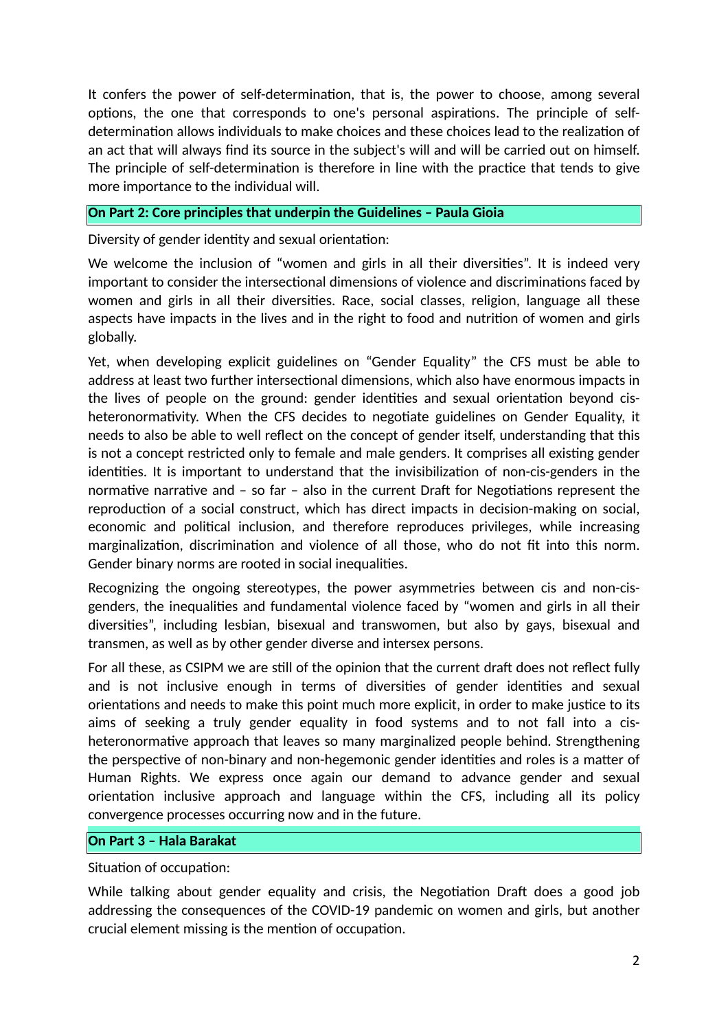It confers the power of self-determination, that is, the power to choose, among several options, the one that corresponds to one's personal aspirations. The principle of selfdetermination allows individuals to make choices and these choices lead to the realization of an act that will always find its source in the subject's will and will be carried out on himself. The principle of self-determination is therefore in line with the practice that tends to give more importance to the individual will.

#### **On Part 2: Core principles that underpin the Guidelines – Paula Gioia**

Diversity of gender identity and sexual orientation:

We welcome the inclusion of "women and girls in all their diversities". It is indeed very important to consider the intersectional dimensions of violence and discriminations faced by women and girls in all their diversities. Race, social classes, religion, language all these aspects have impacts in the lives and in the right to food and nutrition of women and girls globally.

Yet, when developing explicit guidelines on "Gender Equality" the CFS must be able to address at least two further intersectional dimensions, which also have enormous impacts in the lives of people on the ground: gender identities and sexual orientation beyond cisheteronormativity. When the CFS decides to negotiate guidelines on Gender Equality, it needs to also be able to well reflect on the concept of gender itself, understanding that this is not a concept restricted only to female and male genders. It comprises all existing gender identities. It is important to understand that the invisibilization of non-cis-genders in the normative narrative and – so far – also in the current Draft for Negotiations represent the reproduction of a social construct, which has direct impacts in decision-making on social, economic and political inclusion, and therefore reproduces privileges, while increasing marginalization, discrimination and violence of all those, who do not fit into this norm. Gender binary norms are rooted in social inequalities.

Recognizing the ongoing stereotypes, the power asymmetries between cis and non-cisgenders, the inequalities and fundamental violence faced by "women and girls in all their diversities", including lesbian, bisexual and transwomen, but also by gays, bisexual and transmen, as well as by other gender diverse and intersex persons.

For all these, as CSIPM we are still of the opinion that the current draft does not reflect fully and is not inclusive enough in terms of diversities of gender identities and sexual orientations and needs to make this point much more explicit, in order to make justice to its aims of seeking a truly gender equality in food systems and to not fall into a cisheteronormative approach that leaves so many marginalized people behind. Strengthening the perspective of non-binary and non-hegemonic gender identities and roles is a matter of Human Rights. We express once again our demand to advance gender and sexual orientation inclusive approach and language within the CFS, including all its policy convergence processes occurring now and in the future.

#### **On Part 3 – Hala Barakat**

Situation of occupation:

While talking about gender equality and crisis, the Negotiation Draft does a good job addressing the consequences of the COVID-19 pandemic on women and girls, but another crucial element missing is the mention of occupation.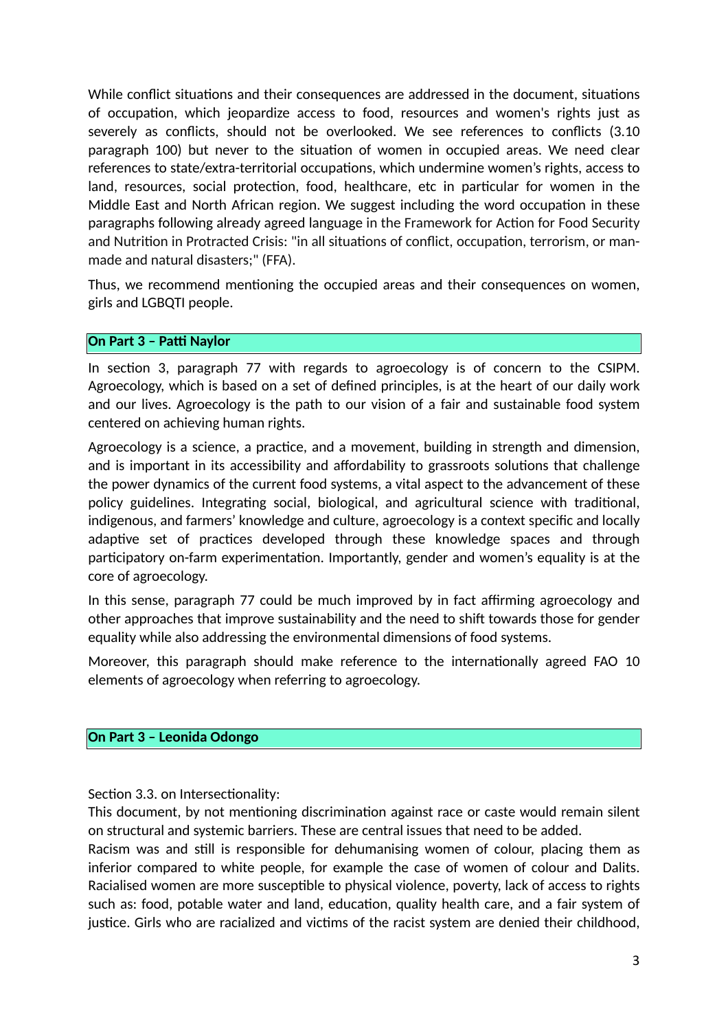While conflict situations and their consequences are addressed in the document, situations of occupation, which jeopardize access to food, resources and women's rights just as severely as conflicts, should not be overlooked. We see references to conflicts (3.10 paragraph 100) but never to the situation of women in occupied areas. We need clear references to state/extra-territorial occupations, which undermine women's rights, access to land, resources, social protection, food, healthcare, etc in particular for women in the Middle East and North African region. We suggest including the word occupation in these paragraphs following already agreed language in the Framework for Action for Food Security and Nutrition in Protracted Crisis: "in all situations of conflict, occupation, terrorism, or manmade and natural disasters;" (FFA).

Thus, we recommend mentioning the occupied areas and their consequences on women, girls and LGBQTI people.

#### **On Part 3 – Patti Naylor**

In section 3, paragraph 77 with regards to agroecology is of concern to the CSIPM. Agroecology, which is based on a set of defined principles, is at the heart of our daily work and our lives. Agroecology is the path to our vision of a fair and sustainable food system centered on achieving human rights.

Agroecology is a science, a practice, and a movement, building in strength and dimension, and is important in its accessibility and affordability to grassroots solutions that challenge the power dynamics of the current food systems, a vital aspect to the advancement of these policy guidelines. Integrating social, biological, and agricultural science with traditional, indigenous, and farmers' knowledge and culture, agroecology is a context specific and locally adaptive set of practices developed through these knowledge spaces and through participatory on-farm experimentation. Importantly, gender and women's equality is at the core of agroecology.

In this sense, paragraph 77 could be much improved by in fact affirming agroecology and other approaches that improve sustainability and the need to shift towards those for gender equality while also addressing the environmental dimensions of food systems.

Moreover, this paragraph should make reference to the internationally agreed FAO 10 elements of agroecology when referring to agroecology.

#### **On Part 3 – Leonida Odongo**

Section 3.3. on Intersectionality:

This document, by not mentioning discrimination against race or caste would remain silent on structural and systemic barriers. These are central issues that need to be added.

Racism was and still is responsible for dehumanising women of colour, placing them as inferior compared to white people, for example the case of women of colour and Dalits. Racialised women are more susceptible to physical violence, poverty, lack of access to rights such as: food, potable water and land, education, quality health care, and a fair system of justice. Girls who are racialized and victims of the racist system are denied their childhood,